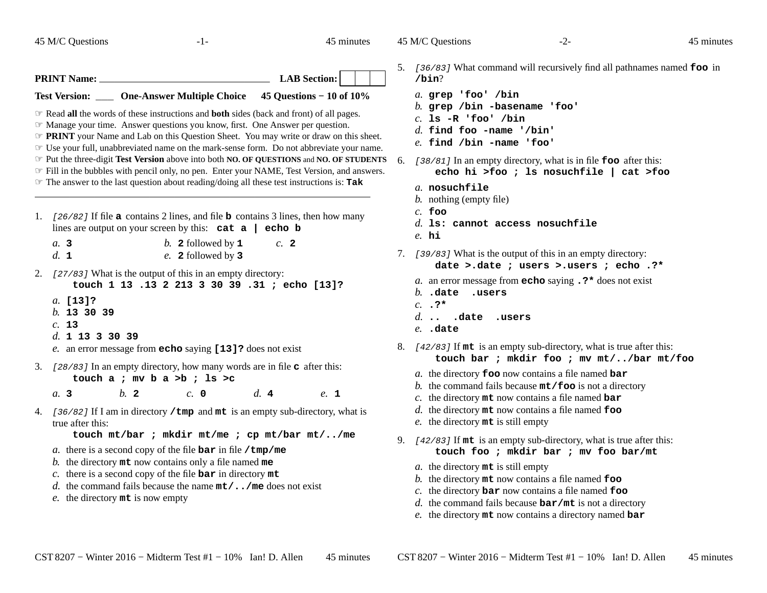45 M/C Questions

45 M/C Questions

45 minutes

 $-1-$  45 **PRINT Name: LAB Section: Test Version: \_\_\_ One-Answer Multiple Choice 45 Questions − 10 of 10%** ☞ Read **all** the words of these instructions and **both** sides (back and front) of all pages. ☞ Manage your time. Answer questions you know, first. One Answer per question. ☞ **PRINT** your Name and Lab on this Question Sheet. You may write or draw on this sheet. ☞ Use your full, unabbreviated name on the mark-sense form. Do not abbreviate your name. ☞ Put the three-digit **Test Version** above into both **NO. OF QUESTIONS** and **NO. OF STUDENTS** ☞ Fill in the bubbles with pencil only, no pen. Enter your NAME, Test Version, and answers. ☞ The answer to the last question about reading/doing all these test instructions is: **Tak** 1. [26/82] If file **a** contains 2 lines, and file **b** contains 3 lines, then how many lines are output on your screen by this: **cat a | echo b***a.***3** *b.* **2** followed by **1** *c.* **2***d.***1** *e.* **2** followed by **3**2. [27/83] What is the output of this in an empty directory: **touch 1 13 .13 2 213 3 30 39 .31 ; echo [13]?***a.* **[13]?** *b.* **13 30 39***c.* **13** *d.* **<sup>1</sup> <sup>13</sup> <sup>3</sup> <sup>30</sup> <sup>39</sup>** *e.* an error message from **echo** saying **[13]?** does not exist 3. [28/83] In an empty directory, how many words are in file **c** after this: **touch a ; mv b a >b ; ls >c***a.***3** *b.* **2** *c.* **<sup>0</sup>** *d.* **4** *e.* **1**4. [36/82] If I am in directory **/tmp** and **mt** is an empty sub-directory, what is true after this: **touch mt/bar ; mkdir mt/me ; cp mt/bar mt/../me***a.* there is a second copy of the file **bar** in file **/tmp/me** *b.* the directory **mt** now contains only a file named **me** *c.* there is a second copy of the file **bar** in directory **mt**

- *d.* the command fails because the name **mt/../me** does not exist
- *e.* the directory **mt** is now empty
- 5. [36/83] What command will recursively find all pathnames named **foo** in **/bin**?
	- *a.* **grep 'foo' /bin**
	- *b.* **grep /bin -basename 'foo'**
	- *c.* **ls -R 'foo' /bin**
	- *d.* **find foo -name '/bin'**
	- *e.* **find /bin -name 'foo'**
- 6. [38/81] In an empty directory, what is in file **foo** after this: **echo hi >foo ; ls nosuchfile | cat >foo**
	- *a.* **nosuchfile**
	- *b.* nothing (empty file)
	- *c.* **foo**
	- *d.* **ls: cannot access nosuchfile**
	- *e.* **hi**
- 7. [39/83] What is the output of this in an empty directory:

**date >.date ; users >.users ; echo .?\***

- *a.* an error message from **echo** saying **.?\*** does not exist
- *b.* **.date .users**
- *c.* **.?\***
- *d.* **.. .date .users**
- *e.* **.date**
- 8. [42/83] If **mt** is an empty sub-directory, what is true after this: **touch bar ; mkdir foo ; mv mt/../bar mt/foo**
	- *a.* the directory **foo** now contains a file named **bar**
	- *b.* the command fails because **mt/foo** is not a directory
	- *c.* the directory **mt** now contains a file named **bar**
	- *d.* the directory **mt** now contains a file named **foo**
	- *e.* the directory **mt** is still empty
- 9. [42/83] If **mt** is an empty sub-directory, what is true after this: **touch foo ; mkdir bar ; mv foo bar/mt**
	- *a.* the directory **mt** is still empty
	- *b.* the directory **mt** now contains a file named **foo**
	- *c.* the directory **bar** now contains a file named **foo**
	- *d.* the command fails because **bar/mt** is not a directory
	- *e.* the directory **mt** now contains a directory named **bar**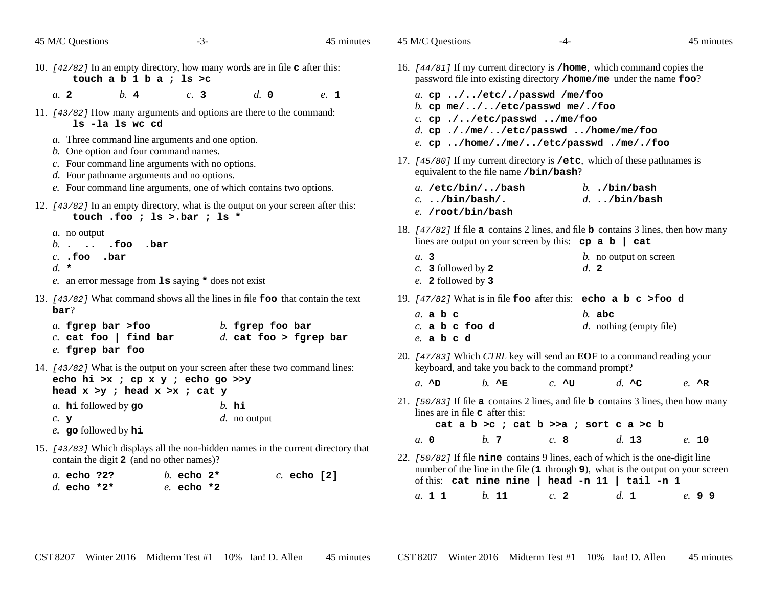| 45 M/C Questions                                                                                                                                    | $-3-$                                                                                                                                                                                     | 45 minutes    | 45 M/C Questions<br>45 minutes<br>$-4-$                                                                                                                                                                                                                                                                              |
|-----------------------------------------------------------------------------------------------------------------------------------------------------|-------------------------------------------------------------------------------------------------------------------------------------------------------------------------------------------|---------------|----------------------------------------------------------------------------------------------------------------------------------------------------------------------------------------------------------------------------------------------------------------------------------------------------------------------|
| touch a $b 1 b a$ ; ls >c                                                                                                                           | 10. $[42/82]$ In an empty directory, how many words are in file $\sigma$ after this:                                                                                                      |               | 16. [44/81] If my current directory is /home, which command copies the<br>password file into existing directory / home/me under the name foo?                                                                                                                                                                        |
| b.4<br>a. 2<br>1s -la 1s wc cd<br>b. One option and four command names.                                                                             | d. 0<br>c.3<br>11. [43/82] How many arguments and options are there to the command:<br>a. Three command line arguments and one option.<br>c. Four command line arguments with no options. | e. 1          | a. cp //etc/./passwd /me/foo<br>b. cp $me/$ //etc/passwd $me/$ ./foo<br>$c.$ cp $.//etc/passwd /me/foo$<br>d. cp $././me/./etc/passwd$ /home/me/foo<br>e. cp /home/./me//etc/passwd ./me/./foo<br>17. [45/80] If my current directory is /etc, which of these pathnames is<br>equivalent to the file name /bin/bash? |
| $d.$ Four pathname arguments and no options.                                                                                                        | e. Four command line arguments, one of which contains two options.<br>12. [43/82] In an empty directory, what is the output on your screen after this:<br>touch .foo ; ls >.bar ; ls *    |               | $a. /etc/bin/$ /bash<br>$b.$ ./bin/bash<br>$d.$ /bin/bash<br>$c.$ /bin/bash/.<br>e. /root/bin/bash                                                                                                                                                                                                                   |
| $a$ . no output<br>$b.$ . .foo<br>$c.$ . foo . bar                                                                                                  | .bar                                                                                                                                                                                      |               | 18. $\left[47/82\right]$ If file a contains 2 lines, and file b contains 3 lines, then how many<br>lines are output on your screen by this: $cp \ a \ b \ cat$<br>a.3<br><i>b</i> . no output on screen                                                                                                              |
| $d.$ *                                                                                                                                              | e. an error message from $1s$ saying $\star$ does not exist                                                                                                                               |               | $c.$ 3 followed by 2<br>$d_{\cdot}$ 2<br>e. 2 followed by 3                                                                                                                                                                                                                                                          |
| bar?<br>a. fgrep bar >foo<br>$c.$ cat foo   find bar                                                                                                | 13. [43/82] What command shows all the lines in file <b>foo</b> that contain the text<br>$b$ . fgrep foo bar<br>$d.$ cat foo > fgrep bar                                                  |               | 19. $[47/82]$ What is in file foo after this: echo a b c >foo d<br>$a$ . a $b$ c<br>$b.$ abc<br>$d.$ nothing (empty file)<br>$c.$ a $b$ c foo d<br>$e.$ a $b$ c $d$                                                                                                                                                  |
| e. fgrep bar foo                                                                                                                                    | 14. [43/82] What is the output on your screen after these two command lines:                                                                                                              |               | 20. [47/83] Which CTRL key will send an EOF to a command reading your<br>keyboard, and take you back to the command prompt?                                                                                                                                                                                          |
| echo hi >x ; cp x y ; echo go >>y<br>head $x >y$ ; head $x >x$ ; cat $y$<br>a. $h$ is followed by go<br>$c.$ $\mathbf{y}$<br>e. go followed by $hi$ | $b.$ hi<br>$d.$ no output                                                                                                                                                                 |               | $b. \sim$ E<br>$a. \triangle D$<br>$c. \Delta U$<br>d. $AC$<br>$e. \quad \wedge R$<br>21. $[50/83]$ If file a contains 2 lines, and file b contains 3 lines, then how many<br>lines are in file <b>c</b> after this:<br>cat a $b > c$ ; cat $b >> a$ ; sort c a >c $b$                                               |
| contain the digit 2 (and no other names)?<br>a. echo ?2?                                                                                            | 15. [43/83] Which displays all the non-hidden names in the current directory that<br>b. echo $2^*$                                                                                        | $c.$ echo [2] | b. 7<br>a, 0<br>c.8<br>$d.$ 13<br>e. 10<br>22. [50/82] If file nine contains 9 lines, each of which is the one-digit line<br>number of the line in the file (1 through 9), what is the output on your screen<br>of this: cat nine nine   head -n 11   tail -n 1                                                      |
| d. echo $*2*$                                                                                                                                       | $e$ . echo *2                                                                                                                                                                             |               | $b.$ 11<br>d. 1<br>a. 1 1<br>c. 2<br>e. 9 9                                                                                                                                                                                                                                                                          |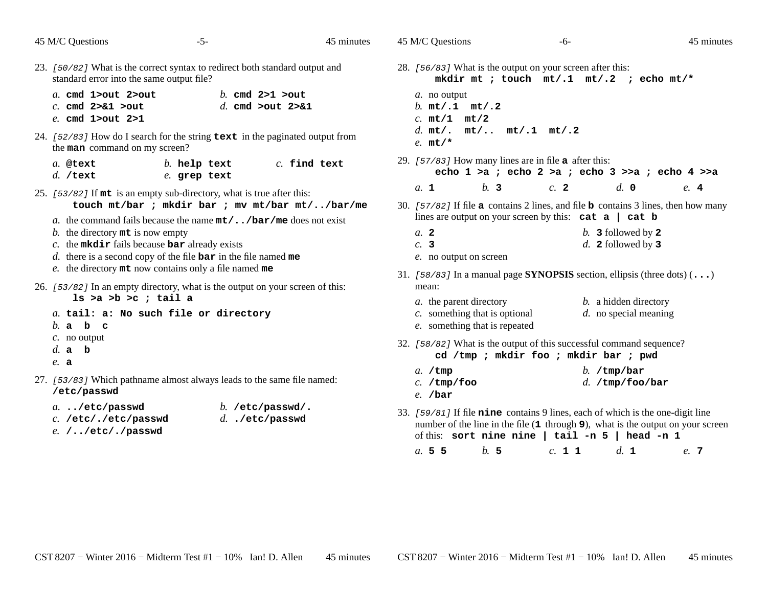| 45 M/C Questions                                                                                | $-5-$                                                                                                                                                                                                                                                                                                                                                                                                                                                                                                     | 45 minutes     | 45 M/C Questions                                                                                                                                                                                                                                                                                                                                                  | -6-                                                                                                                                  | 45 minutes                                                                       |
|-------------------------------------------------------------------------------------------------|-----------------------------------------------------------------------------------------------------------------------------------------------------------------------------------------------------------------------------------------------------------------------------------------------------------------------------------------------------------------------------------------------------------------------------------------------------------------------------------------------------------|----------------|-------------------------------------------------------------------------------------------------------------------------------------------------------------------------------------------------------------------------------------------------------------------------------------------------------------------------------------------------------------------|--------------------------------------------------------------------------------------------------------------------------------------|----------------------------------------------------------------------------------|
| standard error into the same output file?                                                       | 23. [50/82] What is the correct syntax to redirect both standard output and                                                                                                                                                                                                                                                                                                                                                                                                                               |                | 28. [56/83] What is the output on your screen after this:                                                                                                                                                                                                                                                                                                         | mkdir mt ; touch $mt/.1$ mt/.2 ; echo mt/*                                                                                           |                                                                                  |
| a. cmd 1>out 2>out<br>$c.$ cmd $2>81$ >out<br>e. cmd 1>out 2>1<br>the man command on my screen? | b. cmd $2>1$ $>$ out<br>d. cmd $>$ out $2>81$<br>24. $[52/83]$ How do I search for the string text in the paginated output from                                                                                                                                                                                                                                                                                                                                                                           |                | a. no output<br>b. $mt/.1$ $mt/.2$<br>$c.$ mt/1 mt/2<br>d. $mt/$ . $mt/$ $mt/$ .1 $mt/$ .2<br>$e.$ mt/*                                                                                                                                                                                                                                                           |                                                                                                                                      |                                                                                  |
| a. @text<br>$d.$ /text                                                                          | $b.$ help text<br>e. grep text                                                                                                                                                                                                                                                                                                                                                                                                                                                                            | $c.$ find text | 29. $[57/83]$ How many lines are in file <b>a</b> after this:                                                                                                                                                                                                                                                                                                     | echo 1 >a ; echo 2 >a ; echo 3 >>a ; echo 4 >>a                                                                                      |                                                                                  |
| b. the directory $m_t$ is now empty<br>$ls >a >b >c$ ; tail a<br>$b$ . a $b$ c                  | 25. [53/82] If mt is an empty sub-directory, what is true after this:<br>touch mt/bar ; mkdir bar ; mv mt/bar mt//bar/me<br>a. the command fails because the name $mt/$ /bar/me does not exist<br>$c$ . the mkdir fails because bar already exists<br>d. there is a second copy of the file $bar$ in the file named me<br>e. the directory mt now contains only a file named me<br>26. [53/82] In an empty directory, what is the output on your screen of this:<br>a. tail: a: No such file or directory |                | b.3<br>a. 1<br>30. $[57/82]$ If file <b>a</b> contains 2 lines, and file <b>b</b> contains 3 lines, then how many<br>$a$ , 2<br>c. 3<br>e. no output on screen<br>31. [58/83] In a manual page SYNOPSIS section, ellipsis (three dots) $(\ldots)$<br>mean:<br><i>a</i> . the parent directory<br>$c.$ something that is optional<br>e. something that is repeated | $c$ . 2<br>lines are output on your screen by this: $cat a   cat b$<br>b. 3 followed by $2$<br>$d.$ 2 followed by 3                  | $d. \, \, \mathbf{0}$<br>e.4<br>b. a hidden directory<br>$d.$ no special meaning |
| $c$ . no output<br>d.a b<br>$e$ . a                                                             |                                                                                                                                                                                                                                                                                                                                                                                                                                                                                                           |                | 32. [58/82] What is the output of this successful command sequence?                                                                                                                                                                                                                                                                                               | cd /tmp ; mkdir foo ; mkdir bar ; pwd                                                                                                |                                                                                  |
| /etc/passwd                                                                                     | 27. [53/83] Which pathname almost always leads to the same file named:                                                                                                                                                                                                                                                                                                                                                                                                                                    |                | a. /tmp<br>$c.$ /tmp/foo<br>$e.$ /bar                                                                                                                                                                                                                                                                                                                             | b. $/\text{tmp}/\text{bar}$                                                                                                          | $d.$ /tmp/foo/bar                                                                |
| $a.$ /etc/passwd<br>c. /etc/./etc/passwd<br>$e.$ //etc/./passwd                                 | $b.$ /etc/passwd/.<br>$d.$ ./etc/passwd                                                                                                                                                                                                                                                                                                                                                                                                                                                                   |                | 33. [59/81] If file nine contains 9 lines, each of which is the one-digit line                                                                                                                                                                                                                                                                                    | number of the line in the file (1 through 9), what is the output on your screen<br>of this: sort nine nine   tail -n $5$   head -n 1 |                                                                                  |

*a.*

**<sup>5</sup> <sup>5</sup>** *b.* **<sup>5</sup>** *c.* **<sup>1</sup> <sup>1</sup>** *d.* **<sup>1</sup>** *e.* **<sup>7</sup>**